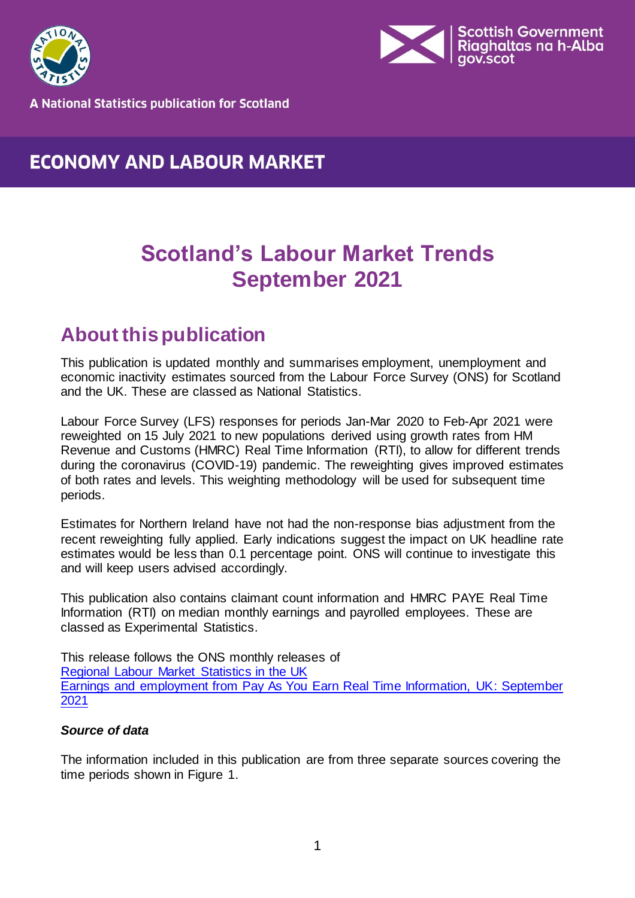



**A National Statistics publication for Scotland** 

# **ECONOMY AND LABOUR MARKET**

# **Scotland's Labour Market Trends September 2021**

# <span id="page-0-0"></span>**About this publication**

This publication is updated monthly and summarises employment, unemployment and economic inactivity estimates sourced from the Labour Force Survey (ONS) for Scotland and the UK. These are classed as National Statistics.

Labour Force Survey (LFS) responses for periods Jan-Mar 2020 to Feb-Apr 2021 were reweighted on 15 July 2021 to new populations derived using growth rates from HM Revenue and Customs (HMRC) Real Time Information (RTI), to allow for different trends during the coronavirus (COVID-19) pandemic. The reweighting gives improved estimates of both rates and levels. This weighting methodology will be used for subsequent time periods.

Estimates for Northern Ireland have not had the non-response bias adjustment from the recent reweighting fully applied. Early indications suggest the impact on UK headline rate estimates would be less than 0.1 percentage point. ONS will continue to investigate this and will keep users advised accordingly.

This publication also contains claimant count information and HMRC PAYE Real Time Information (RTI) on median monthly earnings and payrolled employees. These are classed as Experimental Statistics.

This release follows the ONS monthly releases of [Regional Labour Market Statistics in the UK](https://www.ons.gov.uk/employmentandlabourmarket/peopleinwork/employmentandemployeetypes/bulletins/regionallabourmarket/previousReleases)  [Earnings and employment from Pay As You Earn Real Time Information, UK: September](https://www.ons.gov.uk/employmentandlabourmarket/peopleinwork/earningsandworkinghours/bulletins/earningsandemploymentfrompayasyouearnrealtimeinformationuk/previousReleases) [2021](https://www.ons.gov.uk/employmentandlabourmarket/peopleinwork/earningsandworkinghours/bulletins/earningsandemploymentfrompayasyouearnrealtimeinformationuk/previousReleases)

### *Source of data*

The information included in this publication are from three separate sources covering the time periods shown in Figure 1.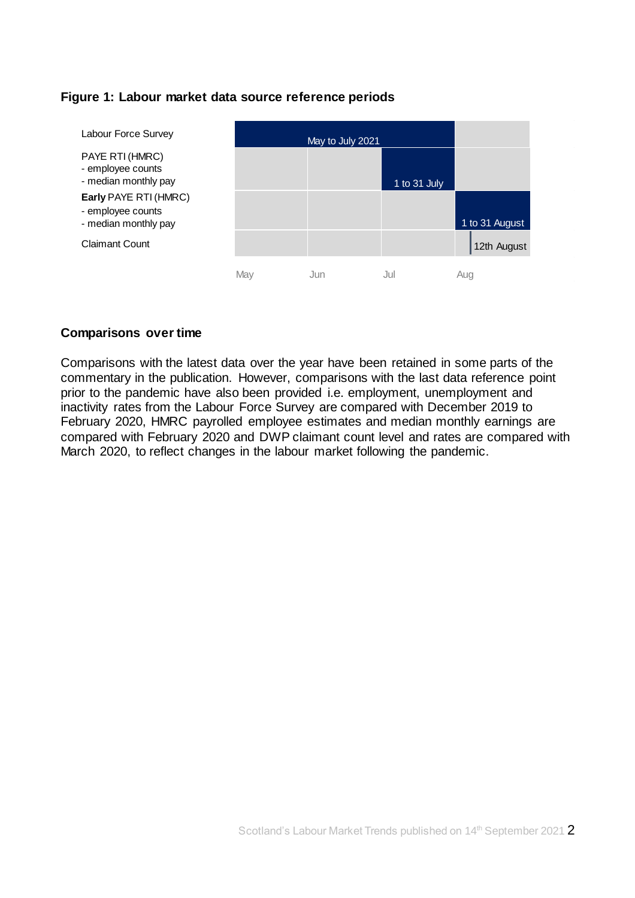### **Figure 1: Labour market data source reference periods**



#### **Comparisons over time**

Comparisons with the latest data over the year have been retained in some parts of the commentary in the publication. However, comparisons with the last data reference point prior to the pandemic have also been provided i.e. employment, unemployment and inactivity rates from the Labour Force Survey are compared with December 2019 to February 2020, HMRC payrolled employee estimates and median monthly earnings are compared with February 2020 and DWP claimant count level and rates are compared with March 2020, to reflect changes in the labour market following the pandemic.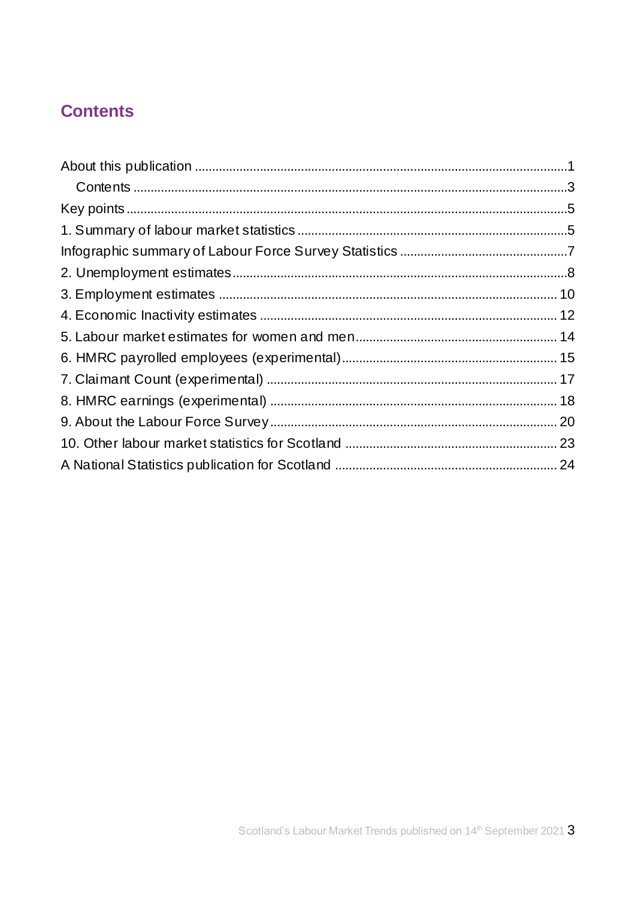# <span id="page-2-0"></span>**Contents**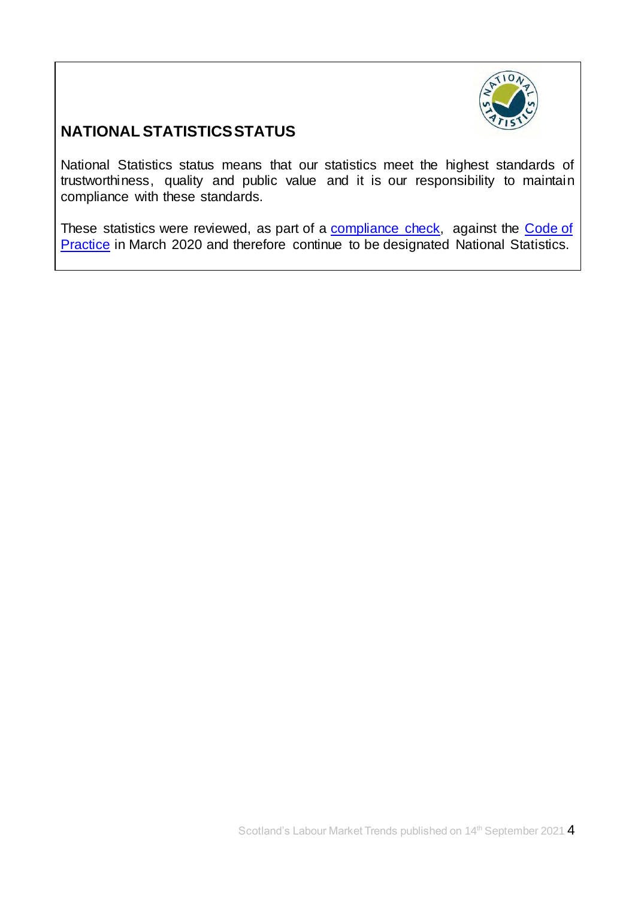

# **NATIONAL STATISTICS STATUS**

National Statistics status means that our statistics meet the highest standards of trustworthiness, quality and public value and it is our responsibility to maintain compliance with these standards.

<span id="page-3-0"></span>These statistics were reviewed, as part of a [compliance check,](https://www.statisticsauthority.gov.uk/correspondence/devolved-labour-market-compliance-check/) against the Code of [Practice](https://www.statisticsauthority.gov.uk/code-of-practice/) in March 2020 and therefore continue to be designated National Statistics.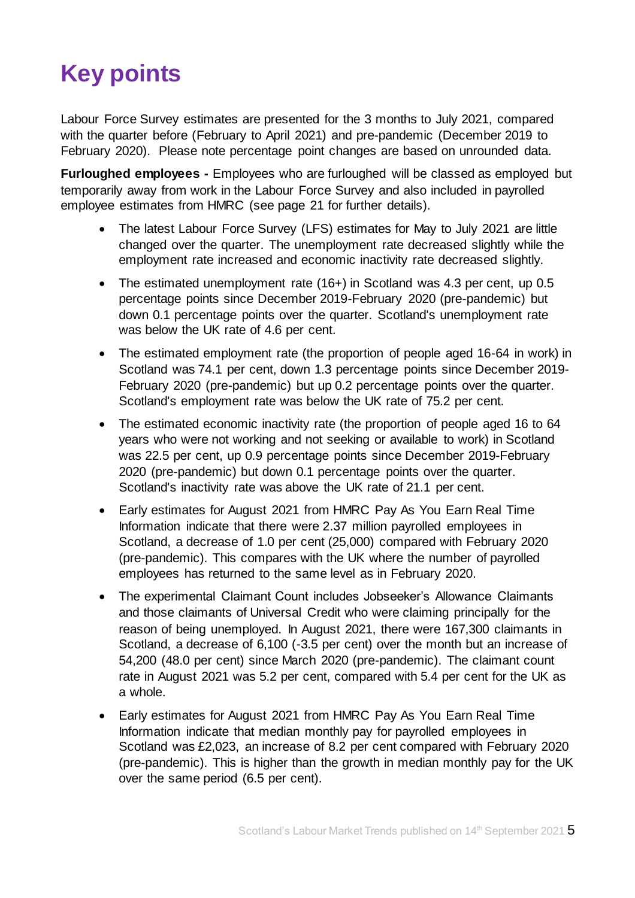# **Key points**

Labour Force Survey estimates are presented for the 3 months to July 2021, compared with the quarter before (February to April 2021) and pre-pandemic (December 2019 to February 2020). Please note percentage point changes are based on unrounded data.

**Furloughed employees -** Employees who are furloughed will be classed as employed but temporarily away from work in the Labour Force Survey and also included in payrolled employee estimates from HMRC (see page 21 for further details).

- The latest Labour Force Survey (LFS) estimates for May to July 2021 are little changed over the quarter. The unemployment rate decreased slightly while the employment rate increased and economic inactivity rate decreased slightly.
- The estimated unemployment rate (16+) in Scotland was 4.3 per cent, up 0.5 percentage points since December 2019-February 2020 (pre-pandemic) but down 0.1 percentage points over the quarter. Scotland's unemployment rate was below the UK rate of 4.6 per cent.
- The estimated employment rate (the proportion of people aged 16-64 in work) in Scotland was 74.1 per cent, down 1.3 percentage points since December 2019- February 2020 (pre-pandemic) but up 0.2 percentage points over the quarter. Scotland's employment rate was below the UK rate of 75.2 per cent.
- The estimated economic inactivity rate (the proportion of people aged 16 to 64 years who were not working and not seeking or available to work) in Scotland was 22.5 per cent, up 0.9 percentage points since December 2019-February 2020 (pre-pandemic) but down 0.1 percentage points over the quarter. Scotland's inactivity rate was above the UK rate of 21.1 per cent.
- Early estimates for August 2021 from HMRC Pay As You Earn Real Time Information indicate that there were 2.37 million payrolled employees in Scotland, a decrease of 1.0 per cent (25,000) compared with February 2020 (pre-pandemic). This compares with the UK where the number of payrolled employees has returned to the same level as in February 2020.
- The experimental Claimant Count includes Jobseeker's Allowance Claimants and those claimants of Universal Credit who were claiming principally for the reason of being unemployed. In August 2021, there were 167,300 claimants in Scotland, a decrease of 6,100 (-3.5 per cent) over the month but an increase of 54,200 (48.0 per cent) since March 2020 (pre-pandemic). The claimant count rate in August 2021 was 5.2 per cent, compared with 5.4 per cent for the UK as a whole.
- <span id="page-4-0"></span> Early estimates for August 2021 from HMRC Pay As You Earn Real Time Information indicate that median monthly pay for payrolled employees in Scotland was £2,023, an increase of 8.2 per cent compared with February 2020 (pre-pandemic). This is higher than the growth in median monthly pay for the UK over the same period (6.5 per cent).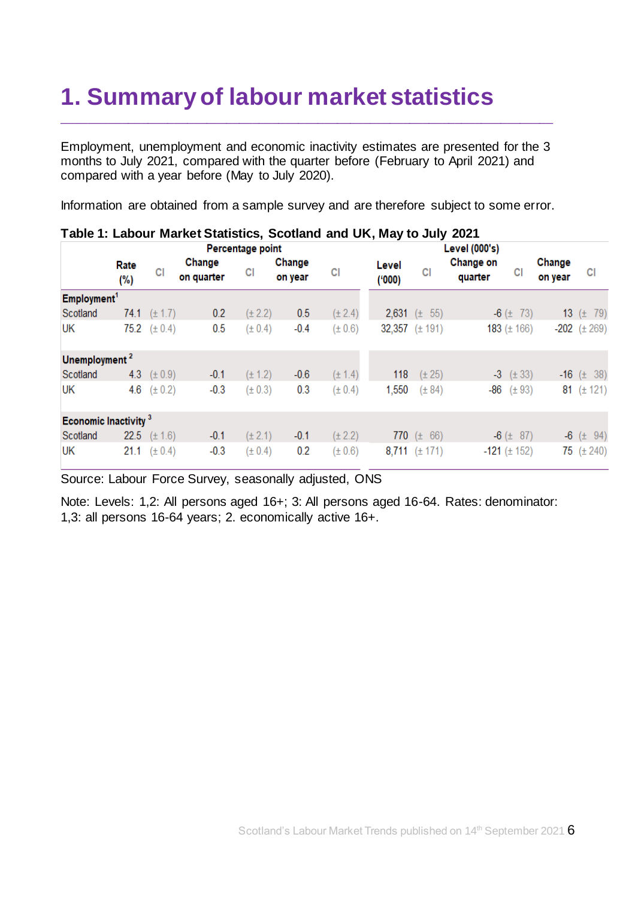# **1. Summary of labour market statistics**

Employment, unemployment and economic inactivity estimates are presented for the 3 months to July 2021, compared with the quarter before (February to April 2021) and compared with a year before (May to July 2020).

\_\_\_\_\_\_\_\_\_\_\_\_\_\_\_\_\_\_\_\_\_\_\_\_\_\_\_\_\_\_\_\_\_\_\_\_\_\_\_\_\_\_\_\_\_\_\_\_\_\_\_\_\_\_\_\_\_\_\_\_\_\_\_\_\_\_\_\_\_\_\_\_\_\_\_

Information are obtained from a sample survey and are therefore subject to some error.

|                                  | $1$ ably 1. Eabour market olationes, occitative and only may to oury zez i |             |                      |             |                   |             |                |                    |                      |                     |                   |                    |
|----------------------------------|----------------------------------------------------------------------------|-------------|----------------------|-------------|-------------------|-------------|----------------|--------------------|----------------------|---------------------|-------------------|--------------------|
|                                  | Percentage point                                                           |             |                      |             | Level (000's)     |             |                |                    |                      |                     |                   |                    |
|                                  | Rate<br>(%)                                                                | СI          | Change<br>on quarter | СI          | Change<br>on year | СI          | Level<br>(000) | СI                 | Change on<br>quarter | СI                  | Change<br>on year | СI                 |
| Employment <sup>1</sup>          |                                                                            |             |                      |             |                   |             |                |                    |                      |                     |                   |                    |
| Scotland                         | 74.1                                                                       | $(\pm 1.7)$ | 0.2                  | $(\pm 2.2)$ | 0.5               | $(\pm 2.4)$ |                | 2,631 $(\pm 55)$   |                      | $-6$ ( $\pm$ 73)    |                   | 13 $(\pm 79)$      |
| UK                               | 75.2                                                                       | $(\pm 0.4)$ | 0.5                  | $(\pm 0.4)$ | $-0.4$            | (± 0.6)     |                | 32,357 $(\pm 191)$ |                      | 183 $(\pm 166)$     |                   | $-202$ $(\pm 269)$ |
| Unemployment <sup>2</sup>        |                                                                            |             |                      |             |                   |             |                |                    |                      |                     |                   |                    |
| Scotland                         | 4.3                                                                        | $(\pm 0.9)$ | $-0.1$               | $(\pm 1.2)$ | $-0.6$            | $(\pm 1.4)$ | 118            | $(\pm 25)$         |                      | $-3$ ( $\pm$ 33)    |                   | $-16$ ( $\pm$ 38)  |
| UK                               | 4.6                                                                        | $(\pm 0.2)$ | $-0.3$               | $(\pm 0.3)$ | 0.3               | $(\pm 0.4)$ | 1,550          | $(\pm 84)$         |                      | $-86$ ( $\pm$ 93)   |                   | 81 $(\pm 121)$     |
| Economic Inactivity <sup>3</sup> |                                                                            |             |                      |             |                   |             |                |                    |                      |                     |                   |                    |
| Scotland                         | 22.5                                                                       | $(\pm 1.6)$ | $-0.1$               | $(\pm 2.1)$ | $-0.1$            | $(\pm 2.2)$ |                | 770 $(\pm 66)$     |                      | $-6$ ( $\pm$ 87)    |                   | $-6$ ( $\pm$ 94)   |
| UK                               | 21.1                                                                       | $(\pm 0.4)$ | $-0.3$               | $(\pm 0.4)$ | 0.2               | $(\pm 0.6)$ |                | 8,711 $(\pm 171)$  |                      | $-121$ ( $\pm$ 152) |                   | 75 $(\pm 240)$     |

## **Table 1: Labour Market Statistics, Scotland and UK, May to July 2021**

Source: Labour Force Survey, seasonally adjusted, ONS

Note: Levels: 1,2: All persons aged 16+; 3: All persons aged 16-64. Rates: denominator: 1,3: all persons 16-64 years; 2. economically active 16+.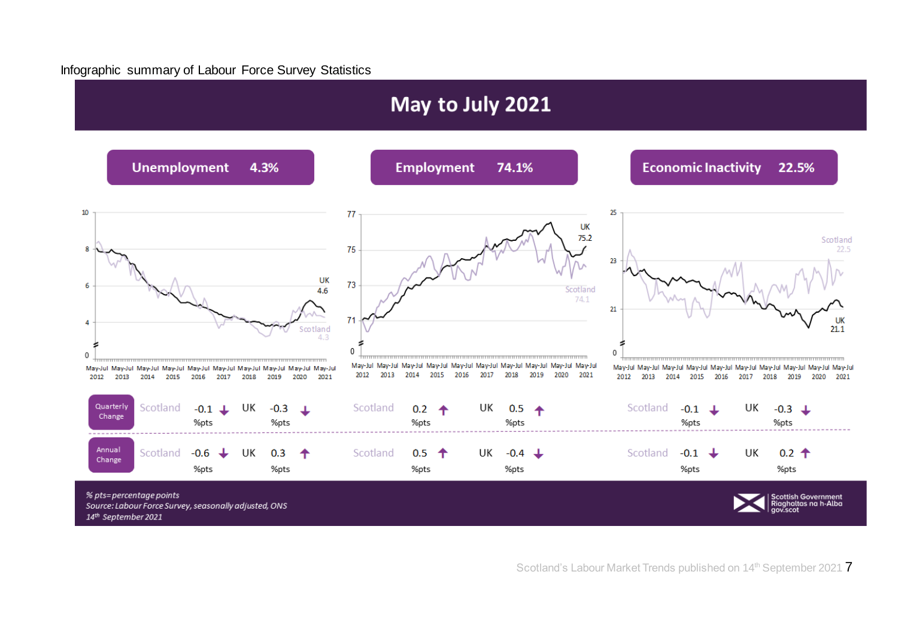#### Infographic summary of Labour Force Survey Statistics

<span id="page-6-0"></span>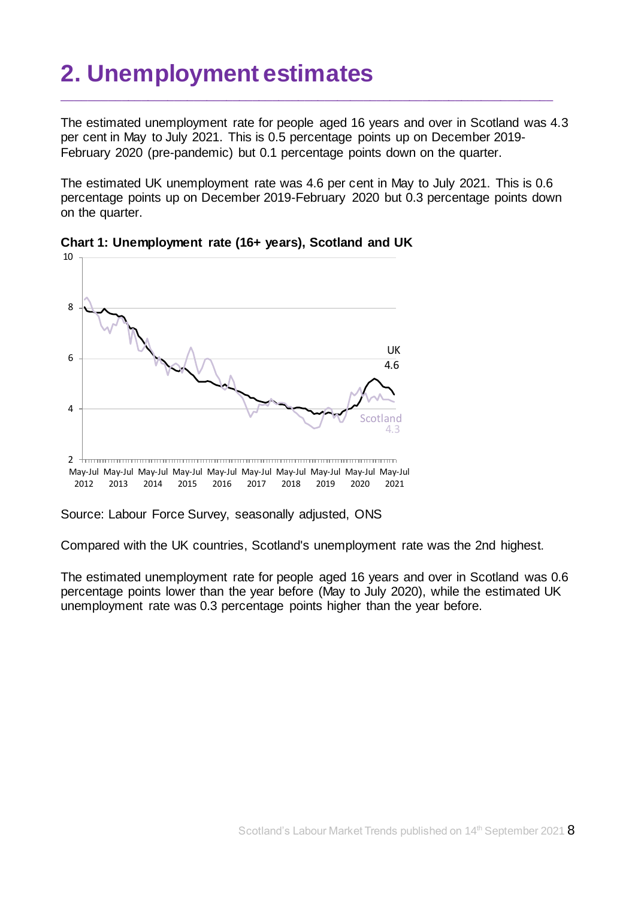# <span id="page-7-0"></span>**2. Unemployment estimates**

The estimated unemployment rate for people aged 16 years and over in Scotland was 4.3 per cent in May to July 2021. This is 0.5 percentage points up on December 2019- February 2020 (pre-pandemic) but 0.1 percentage points down on the quarter.

\_\_\_\_\_\_\_\_\_\_\_\_\_\_\_\_\_\_\_\_\_\_\_\_\_\_\_\_\_\_\_\_\_\_\_\_\_\_\_\_\_\_\_\_\_\_\_\_\_\_\_\_\_\_\_\_\_\_\_\_\_\_\_\_\_\_\_\_\_\_\_\_\_\_\_

The estimated UK unemployment rate was 4.6 per cent in May to July 2021. This is 0.6 percentage points up on December 2019-February 2020 but 0.3 percentage points down on the quarter.



**Chart 1: Unemployment rate (16+ years), Scotland and UK**

Source: Labour Force Survey, seasonally adjusted, ONS

Compared with the UK countries, Scotland's unemployment rate was the 2nd highest.

The estimated unemployment rate for people aged 16 years and over in Scotland was 0.6 percentage points lower than the year before (May to July 2020), while the estimated UK unemployment rate was 0.3 percentage points higher than the year before.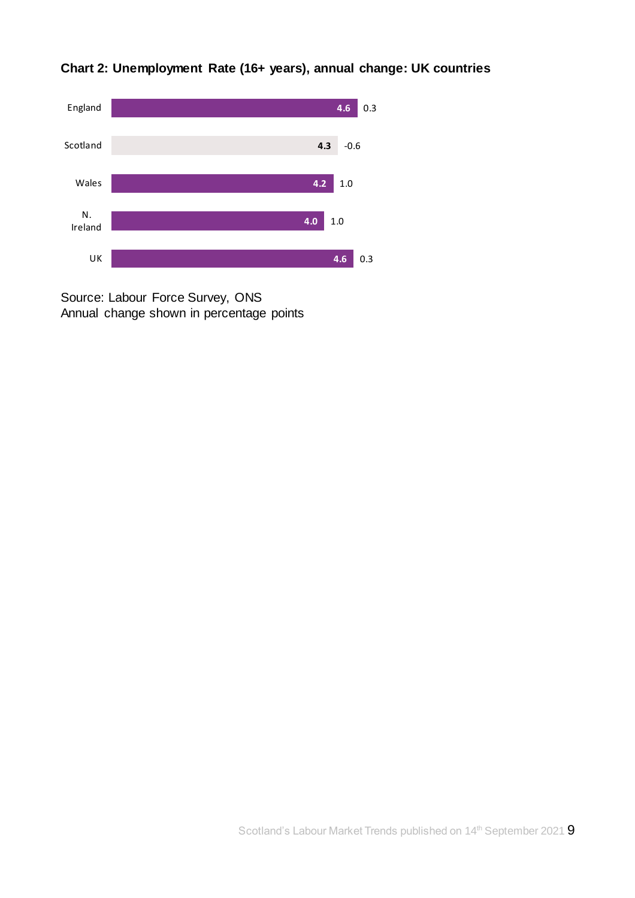

# **Chart 2: Unemployment Rate (16+ years), annual change: UK countries**

Source: Labour Force Survey, ONS Annual change shown in percentage points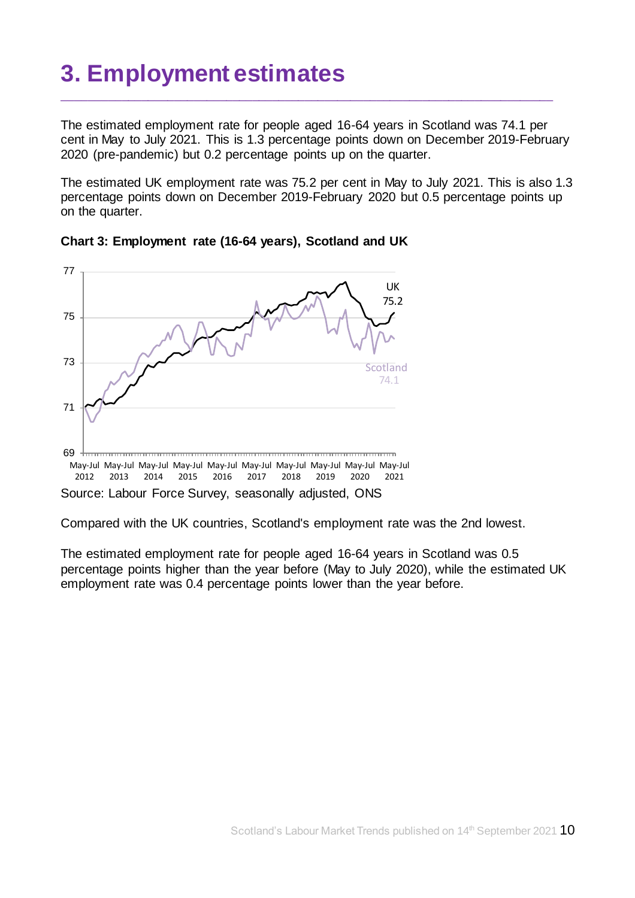# <span id="page-9-0"></span>**3. Employment estimates**

The estimated employment rate for people aged 16-64 years in Scotland was 74.1 per cent in May to July 2021. This is 1.3 percentage points down on December 2019-February 2020 (pre-pandemic) but 0.2 percentage points up on the quarter.

\_\_\_\_\_\_\_\_\_\_\_\_\_\_\_\_\_\_\_\_\_\_\_\_\_\_\_\_\_\_\_\_\_\_\_\_\_\_\_\_\_\_\_\_\_\_\_\_\_\_\_\_\_\_\_\_\_\_\_\_\_\_\_\_\_\_\_\_\_\_\_\_\_\_\_

The estimated UK employment rate was 75.2 per cent in May to July 2021. This is also 1.3 percentage points down on December 2019-February 2020 but 0.5 percentage points up on the quarter.





Compared with the UK countries, Scotland's employment rate was the 2nd lowest.

The estimated employment rate for people aged 16-64 years in Scotland was 0.5 percentage points higher than the year before (May to July 2020), while the estimated UK employment rate was 0.4 percentage points lower than the year before.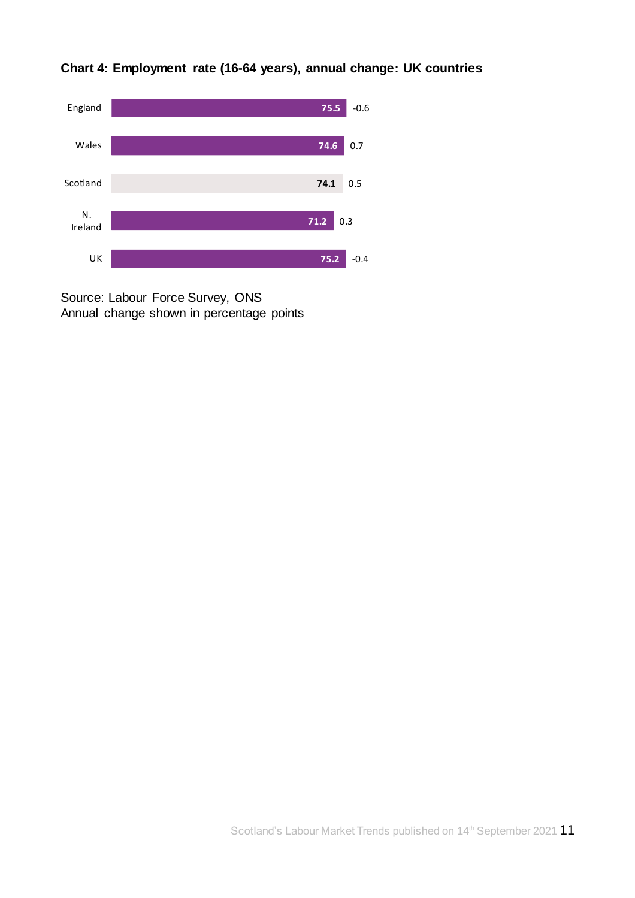



Source: Labour Force Survey, ONS Annual change shown in percentage points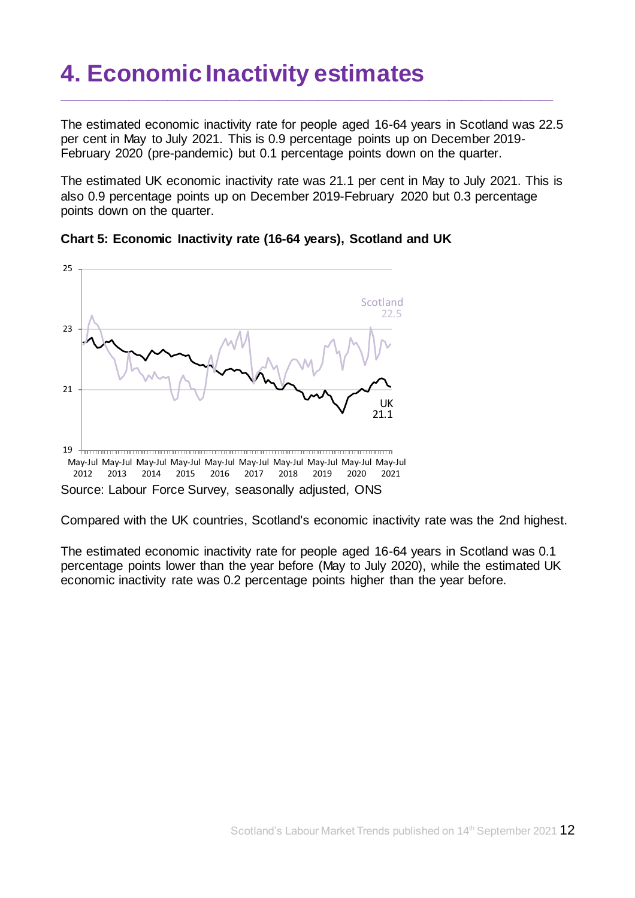# <span id="page-11-0"></span>**4. Economic Inactivity estimates**

The estimated economic inactivity rate for people aged 16-64 years in Scotland was 22.5 per cent in May to July 2021. This is 0.9 percentage points up on December 2019- February 2020 (pre-pandemic) but 0.1 percentage points down on the quarter.

\_\_\_\_\_\_\_\_\_\_\_\_\_\_\_\_\_\_\_\_\_\_\_\_\_\_\_\_\_\_\_\_\_\_\_\_\_\_\_\_\_\_\_\_\_\_\_\_\_\_\_\_\_\_\_\_\_\_\_\_\_\_\_\_\_\_\_\_\_\_\_\_\_\_\_

The estimated UK economic inactivity rate was 21.1 per cent in May to July 2021. This is also 0.9 percentage points up on December 2019-February 2020 but 0.3 percentage points down on the quarter.





Compared with the UK countries, Scotland's economic inactivity rate was the 2nd highest.

The estimated economic inactivity rate for people aged 16-64 years in Scotland was 0.1 percentage points lower than the year before (May to July 2020), while the estimated UK economic inactivity rate was 0.2 percentage points higher than the year before.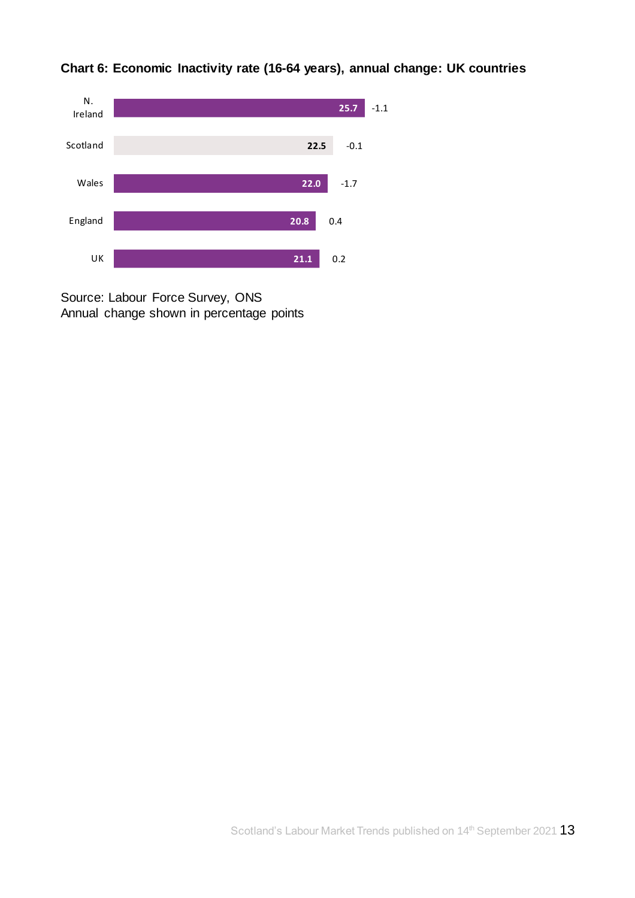

**Chart 6: Economic Inactivity rate (16-64 years), annual change: UK countries**

Source: Labour Force Survey, ONS Annual change shown in percentage points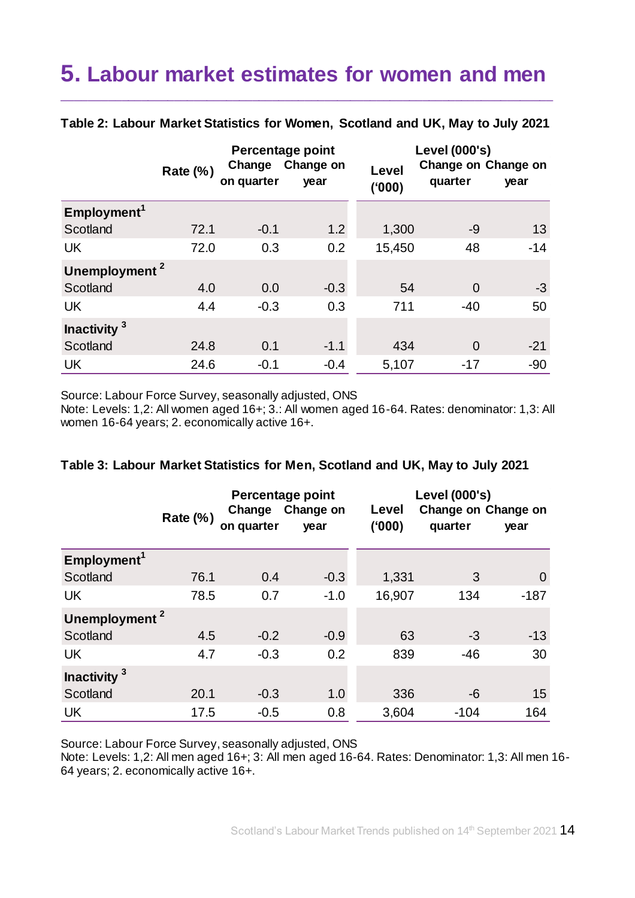# <span id="page-13-0"></span>**5. Labour market estimates for women and men**

|                           | <b>Rate (%)</b> | Change<br>on quarter | Percentage point<br>Change on<br>year | Level<br>(000) | Level (000's)<br>Change on Change on<br>quarter | year  |
|---------------------------|-----------------|----------------------|---------------------------------------|----------------|-------------------------------------------------|-------|
| Employment <sup>1</sup>   |                 |                      |                                       |                |                                                 |       |
| Scotland                  | 72.1            | $-0.1$               | 1.2                                   | 1,300          | -9                                              | 13    |
| <b>UK</b>                 | 72.0            | 0.3                  | 0.2                                   | 15,450         | 48                                              | $-14$ |
| Unemployment <sup>2</sup> |                 |                      |                                       |                |                                                 |       |
| Scotland                  | 4.0             | 0.0                  | $-0.3$                                | 54             | $\Omega$                                        | $-3$  |
| <b>UK</b>                 | 4.4             | $-0.3$               | 0.3                                   | 711            | $-40$                                           | 50    |
| Inactivity <sup>3</sup>   |                 |                      |                                       |                |                                                 |       |
| Scotland                  | 24.8            | 0.1                  | $-1.1$                                | 434            | $\Omega$                                        | $-21$ |
| <b>UK</b>                 | 24.6            | $-0.1$               | $-0.4$                                | 5,107          | $-17$                                           | $-90$ |

#### **Table 2: Labour Market Statistics for Women, Scotland and UK, May to July 2021**

\_\_\_\_\_\_\_\_\_\_\_\_\_\_\_\_\_\_\_\_\_\_\_\_\_\_\_\_\_\_\_\_\_\_\_\_\_\_\_\_\_\_\_\_\_\_\_\_\_\_\_\_\_\_\_\_\_\_\_\_\_\_\_\_\_\_\_\_\_\_\_\_\_\_\_

Source: Labour Force Survey, seasonally adjusted, ONS

Note: Levels: 1,2: All women aged 16+; 3.: All women aged 16-64. Rates: denominator: 1,3: All women 16-64 years; 2. economically active 16+.

### **Table 3: Labour Market Statistics for Men, Scotland and UK, May to July 2021**

|                           | <b>Rate (%)</b> | Change<br>on quarter | Percentage point<br>Change on<br>year | Level<br>(000) | Level (000's)<br>Change on Change on<br>quarter | year   |
|---------------------------|-----------------|----------------------|---------------------------------------|----------------|-------------------------------------------------|--------|
| Employment <sup>1</sup>   |                 |                      |                                       |                |                                                 |        |
| Scotland                  | 76.1            | 0.4                  | $-0.3$                                | 1,331          | 3                                               | 0      |
| <b>UK</b>                 | 78.5            | 0.7                  | $-1.0$                                | 16,907         | 134                                             | $-187$ |
| Unemployment <sup>2</sup> |                 |                      |                                       |                |                                                 |        |
| Scotland                  | 4.5             | $-0.2$               | $-0.9$                                | 63             | $-3$                                            | $-13$  |
| <b>UK</b>                 | 4.7             | $-0.3$               | 0.2                                   | 839            | $-46$                                           | 30     |
| Inactivity <sup>3</sup>   |                 |                      |                                       |                |                                                 |        |
| Scotland                  | 20.1            | $-0.3$               | 1.0                                   | 336            | -6                                              | 15     |
| <b>UK</b>                 | 17.5            | $-0.5$               | 0.8                                   | 3,604          | $-104$                                          | 164    |

Source: Labour Force Survey, seasonally adjusted, ONS

Note: Levels: 1,2: All men aged 16+; 3: All men aged 16-64. Rates: Denominator: 1,3: All men 16- 64 years; 2. economically active 16+.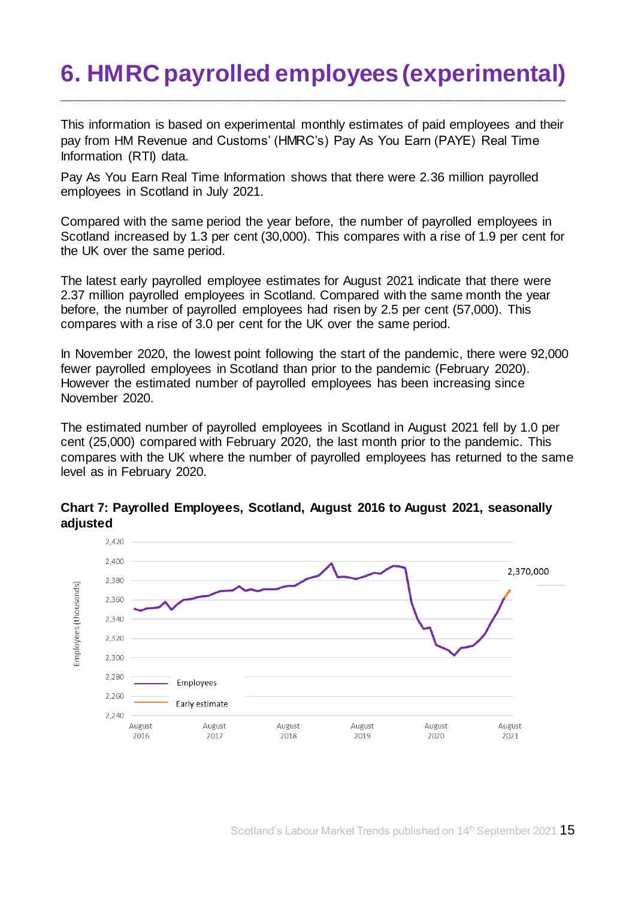# <span id="page-14-0"></span>**6. HMRC payrolled employees (experimental)**

\_\_\_\_\_\_\_\_\_\_\_\_\_\_\_\_\_\_\_\_\_\_\_\_\_\_\_\_\_\_\_\_\_\_\_\_\_\_\_\_\_\_\_\_\_\_\_\_\_\_\_\_\_\_\_\_\_\_\_\_\_\_\_\_\_\_\_\_\_\_\_\_\_\_\_\_\_

This information is based on experimental monthly estimates of paid employees and their pay from HM Revenue and Customs' (HMRC's) Pay As You Earn (PAYE) Real Time Information (RTI) data.

Pay As You Earn Real Time Information shows that there were 2.36 million payrolled employees in Scotland in July 2021.

Compared with the same period the year before, the number of payrolled employees in Scotland increased by 1.3 per cent (30,000). This compares with a rise of 1.9 per cent for the UK over the same period.

The latest early payrolled employee estimates for August 2021 indicate that there were 2.37 million payrolled employees in Scotland. Compared with the same month the year before, the number of payrolled employees had risen by 2.5 per cent (57,000). This compares with a rise of 3.0 per cent for the UK over the same period.

In November 2020, the lowest point following the start of the pandemic, there were 92,000 fewer payrolled employees in Scotland than prior to the pandemic (February 2020). However the estimated number of payrolled employees has been increasing since November 2020.

The estimated number of payrolled employees in Scotland in August 2021 fell by 1.0 per cent (25,000) compared with February 2020, the last month prior to the pandemic. This compares with the UK where the number of payrolled employees has returned to the same level as in February 2020.



**Chart 7: Payrolled Employees, Scotland, August 2016 to August 2021, seasonally adjusted**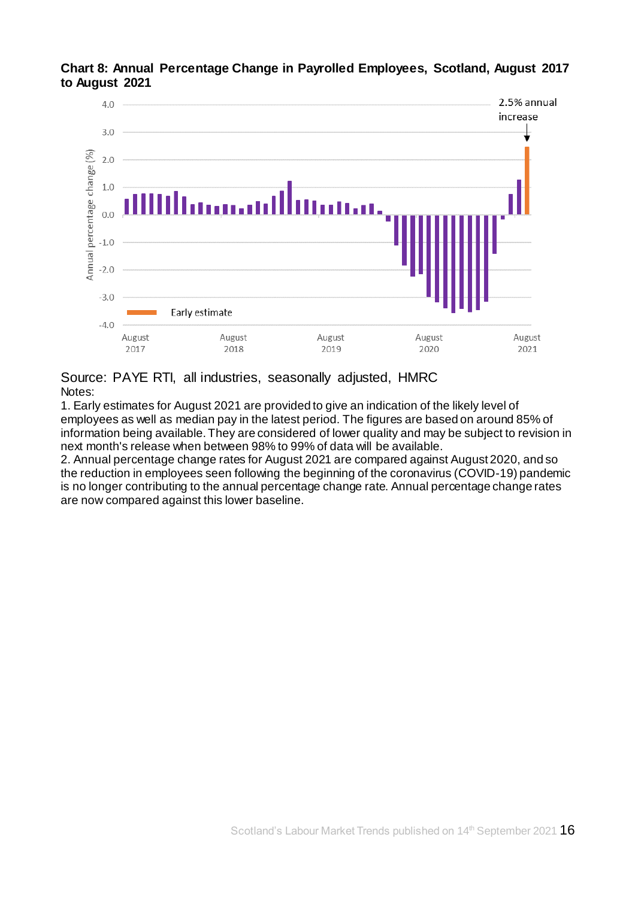

**Chart 8: Annual Percentage Change in Payrolled Employees, Scotland, August 2017 to August 2021** 

Source: PAYE RTI, all industries, seasonally adjusted, HMRC Notes:

1. Early estimates for August 2021 are provided to give an indication of the likely level of employees as well as median pay in the latest period. The figures are based on around 85% of information being available. They are considered of lower quality and may be subject to revision in next month's release when between 98% to 99% of data will be available.

2. Annual percentage change rates for August 2021 are compared against August 2020, and so the reduction in employees seen following the beginning of the coronavirus (COVID-19) pandemic is no longer contributing to the annual percentage change rate. Annual percentage change rates are now compared against this lower baseline.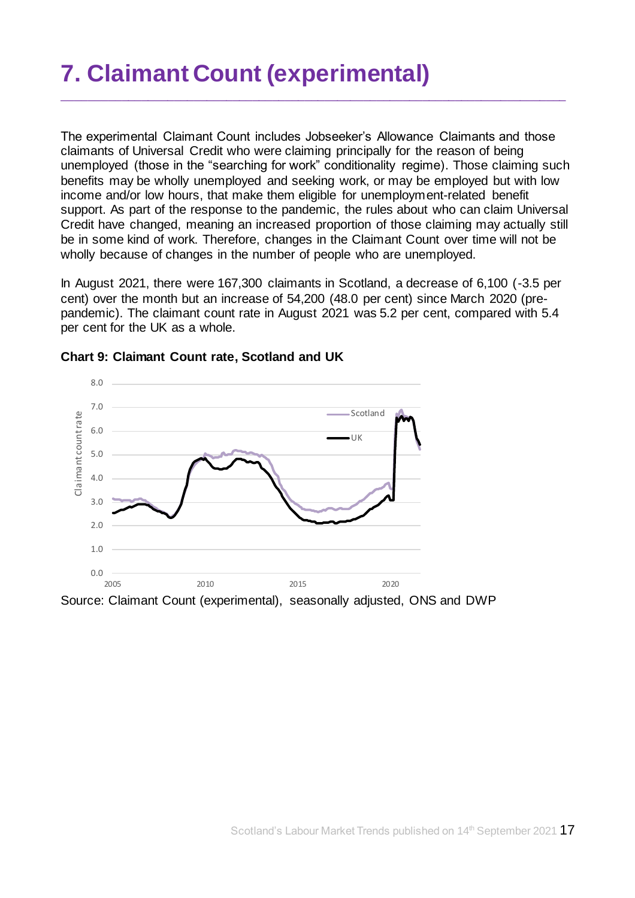# <span id="page-16-0"></span>**7. Claimant Count (experimental)**

The experimental Claimant Count includes Jobseeker's Allowance Claimants and those claimants of Universal Credit who were claiming principally for the reason of being unemployed (those in the "searching for work" conditionality regime). Those claiming such benefits may be wholly unemployed and seeking work, or may be employed but with low income and/or low hours, that make them eligible for unemployment-related benefit support. As part of the response to the pandemic, the rules about who can claim Universal Credit have changed, meaning an increased proportion of those claiming may actually still be in some kind of work. Therefore, changes in the Claimant Count over time will not be wholly because of changes in the number of people who are unemployed.

\_\_\_\_\_\_\_\_\_\_\_\_\_\_\_\_\_\_\_\_\_\_\_\_\_\_\_\_\_\_\_\_\_\_\_\_\_\_\_\_\_\_\_\_\_\_\_\_\_\_\_\_\_\_\_\_\_\_\_\_\_\_\_\_\_\_\_\_\_\_\_\_\_\_\_\_\_

In August 2021, there were 167,300 claimants in Scotland, a decrease of 6,100 (-3.5 per cent) over the month but an increase of 54,200 (48.0 per cent) since March 2020 (prepandemic). The claimant count rate in August 2021 was 5.2 per cent, compared with 5.4 per cent for the UK as a whole.



#### **Chart 9: Claimant Count rate, Scotland and UK**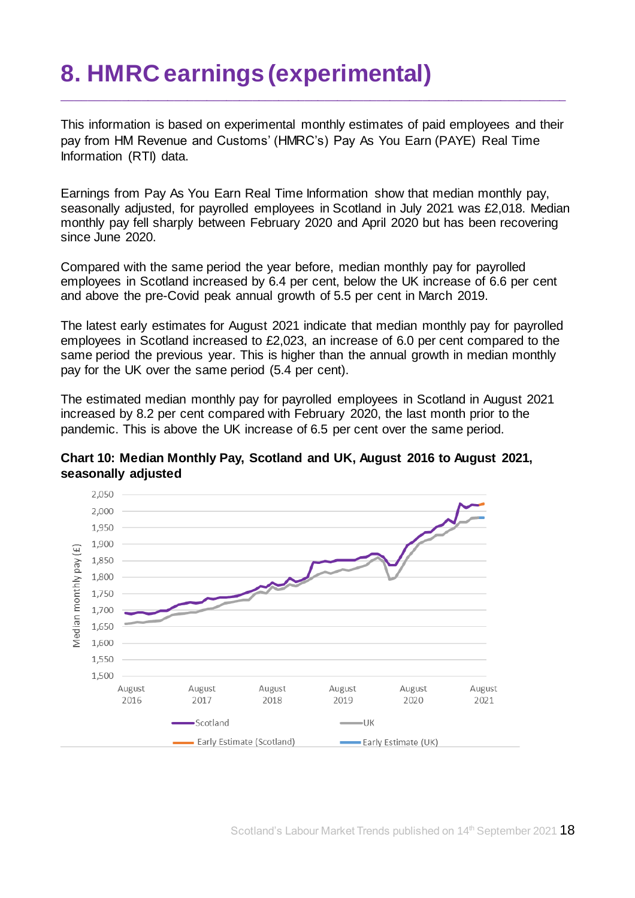# <span id="page-17-0"></span>**8. HMRC earnings (experimental)**

This information is based on experimental monthly estimates of paid employees and their pay from HM Revenue and Customs' (HMRC's) Pay As You Earn (PAYE) Real Time Information (RTI) data.

\_\_\_\_\_\_\_\_\_\_\_\_\_\_\_\_\_\_\_\_\_\_\_\_\_\_\_\_\_\_\_\_\_\_\_\_\_\_\_\_\_\_\_\_\_\_\_\_\_\_\_\_\_\_\_\_\_\_\_\_\_\_\_\_\_\_\_\_\_\_\_\_\_\_\_\_\_

Earnings from Pay As You Earn Real Time Information show that median monthly pay, seasonally adjusted, for payrolled employees in Scotland in July 2021 was £2,018. Median monthly pay fell sharply between February 2020 and April 2020 but has been recovering since June 2020.

Compared with the same period the year before, median monthly pay for payrolled employees in Scotland increased by 6.4 per cent, below the UK increase of 6.6 per cent and above the pre-Covid peak annual growth of 5.5 per cent in March 2019.

The latest early estimates for August 2021 indicate that median monthly pay for payrolled employees in Scotland increased to £2,023, an increase of 6.0 per cent compared to the same period the previous year. This is higher than the annual growth in median monthly pay for the UK over the same period (5.4 per cent).

The estimated median monthly pay for payrolled employees in Scotland in August 2021 increased by 8.2 per cent compared with February 2020, the last month prior to the pandemic. This is above the UK increase of 6.5 per cent over the same period.



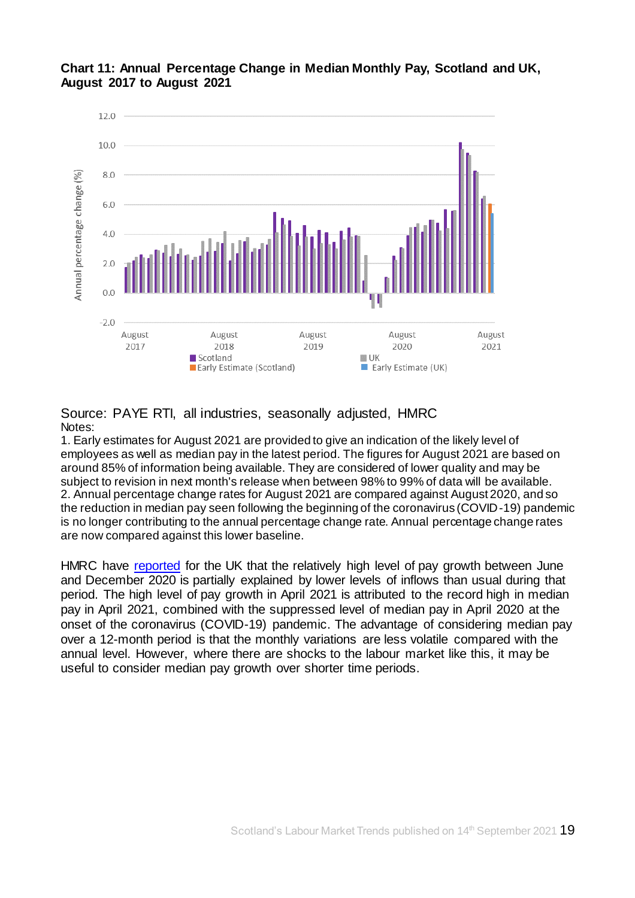

### **Chart 11: Annual Percentage Change in Median Monthly Pay, Scotland and UK, August 2017 to August 2021**

Source: PAYE RTI, all industries, seasonally adjusted, HMRC Notes:

1. Early estimates for August 2021 are provided to give an indication of the likely level of employees as well as median pay in the latest period. The figures for August 2021 are based on around 85% of information being available. They are considered of lower quality and may be subject to revision in next month's release when between 98% to 99% of data will be available. 2. Annual percentage change rates for August 2021 are compared against August 2020, and so the reduction in median pay seen following the beginning of the coronavirus (COVID-19) pandemic is no longer contributing to the annual percentage change rate. Annual percentage change rates are now compared against this lower baseline.

HMRC have [reported](https://www.ons.gov.uk/employmentandlabourmarket/peopleinwork/earningsandworkinghours/bulletins/earningsandemploymentfrompayasyouearnrealtimeinformationuk/latest) for the UK that the relatively high level of pay growth between June and December 2020 is partially explained by lower levels of inflows than usual during that period. The high level of pay growth in April 2021 is attributed to the record high in median pay in April 2021, combined with the suppressed level of median pay in April 2020 at the onset of the coronavirus (COVID-19) pandemic. The advantage of considering median pay over a 12-month period is that the monthly variations are less volatile compared with the annual level. However, where there are shocks to the labour market like this, it may be useful to consider median pay growth over shorter time periods.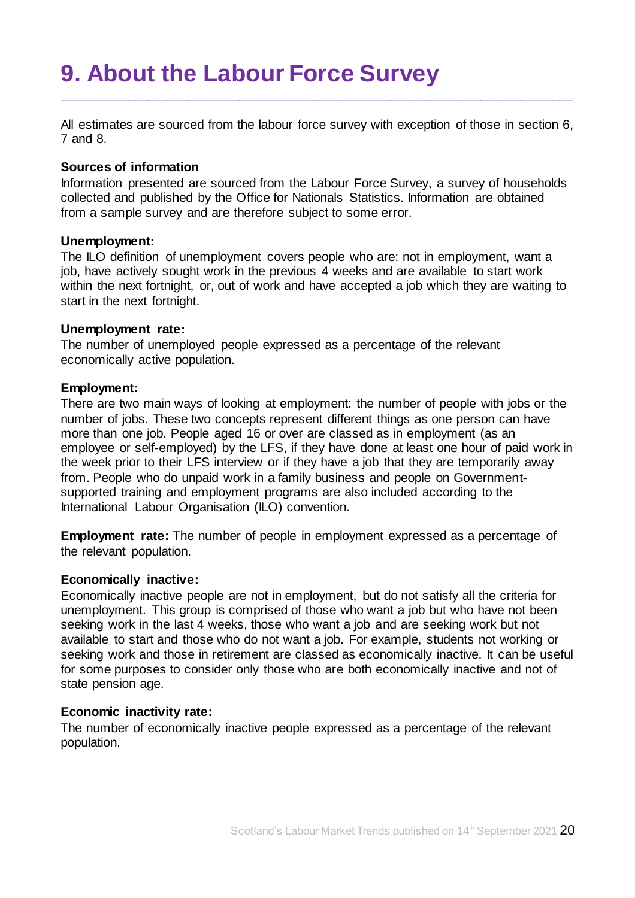# <span id="page-19-0"></span>**9. About the Labour Force Survey**

All estimates are sourced from the labour force survey with exception of those in section 6, 7 and 8.

\_\_\_\_\_\_\_\_\_\_\_\_\_\_\_\_\_\_\_\_\_\_\_\_\_\_\_\_\_\_\_\_\_\_\_\_\_\_\_\_\_\_\_\_\_\_\_\_\_\_\_\_\_\_\_\_\_\_\_\_\_\_\_\_\_\_\_\_\_\_\_\_\_\_\_\_\_\_

#### **Sources of information**

Information presented are sourced from the Labour Force Survey, a survey of households collected and published by the Office for Nationals Statistics. Information are obtained from a sample survey and are therefore subject to some error.

#### **Unemployment:**

The ILO definition of unemployment covers people who are: not in employment, want a job, have actively sought work in the previous 4 weeks and are available to start work within the next fortnight, or, out of work and have accepted a job which they are waiting to start in the next fortnight.

#### **Unemployment rate:**

The number of unemployed people expressed as a percentage of the relevant economically active population.

#### **Employment:**

There are two main ways of looking at employment: the number of people with jobs or the number of jobs. These two concepts represent different things as one person can have more than one job. People aged 16 or over are classed as in employment (as an employee or self-employed) by the LFS, if they have done at least one hour of paid work in the week prior to their LFS interview or if they have a job that they are temporarily away from. People who do unpaid work in a family business and people on Governmentsupported training and employment programs are also included according to the International Labour Organisation (ILO) convention.

**Employment rate:** The number of people in employment expressed as a percentage of the relevant population.

### **Economically inactive:**

Economically inactive people are not in employment, but do not satisfy all the criteria for unemployment. This group is comprised of those who want a job but who have not been seeking work in the last 4 weeks, those who want a job and are seeking work but not available to start and those who do not want a job. For example, students not working or seeking work and those in retirement are classed as economically inactive. It can be useful for some purposes to consider only those who are both economically inactive and not of state pension age.

#### **Economic inactivity rate:**

The number of economically inactive people expressed as a percentage of the relevant population.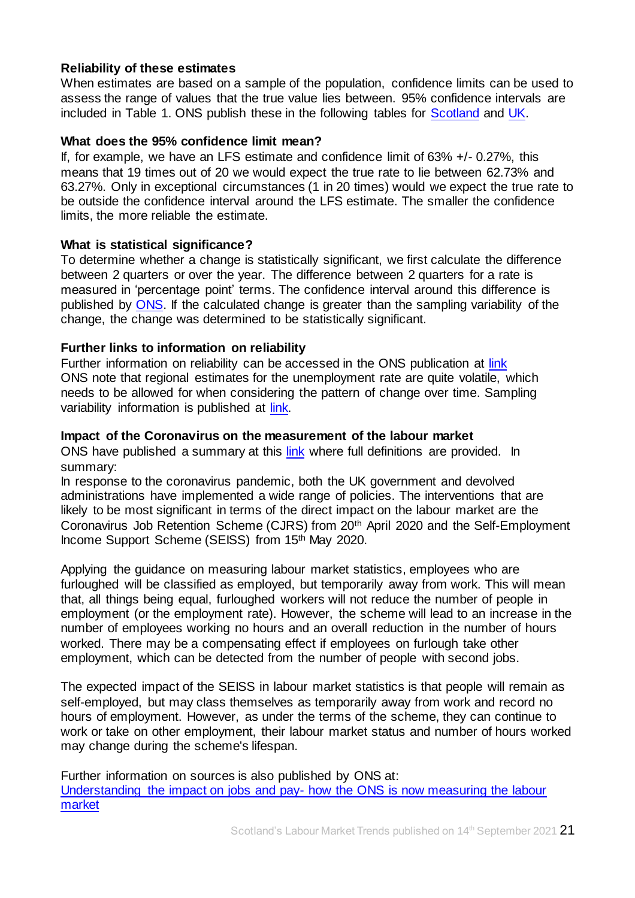### **Reliability of these estimates**

When estimates are based on a sample of the population, confidence limits can be used to assess the range of values that the true value lies between. 95% confidence intervals are included in Table 1. ONS publish these in the following tables for [Scotland](https://www.ons.gov.uk/employmentandlabourmarket/peopleinwork/employmentandemployeetypes/datasets/samplingvariabilityandrevisionssummaryforregionallabourmarketstatisticss02) and [UK.](https://www.ons.gov.uk/employmentandlabourmarket/peopleinwork/employmentandemployeetypes/datasets/labourforcesurveysamplingvariabilitya11)

### **What does the 95% confidence limit mean?**

If, for example, we have an LFS estimate and confidence limit of 63% +/- 0.27%, this means that 19 times out of 20 we would expect the true rate to lie between 62.73% and 63.27%. Only in exceptional circumstances (1 in 20 times) would we expect the true rate to be outside the confidence interval around the LFS estimate. The smaller the confidence limits, the more reliable the estimate.

#### **What is statistical significance?**

To determine whether a change is statistically significant, we first calculate the difference between 2 quarters or over the year. The difference between 2 quarters for a rate is measured in 'percentage point' terms. The confidence interval around this difference is published by [ONS.](https://www.ons.gov.uk/employmentandlabourmarket/peopleinwork/employmentandemployeetypes/datasets/samplingvariabilityandrevisionssummaryforregionallabourmarketstatisticss02) If the calculated change is greater than the sampling variability of the change, the change was determined to be statistically significant.

### **Further links to information on reliability**

Further information on reliability can be accessed in the ONS publication at [link](https://www.ons.gov.uk/employmentandlabourmarket/peopleinwork/employmentandemployeetypes/bulletins/uklabourmarket/september2021) ONS note that regional estimates for the unemployment rate are quite volatile, which needs to be allowed for when considering the pattern of change over time. Sampling variability information is published at [link.](https://www.ons.gov.uk/employmentandlabourmarket/peopleinwork/employmentandemployeetypes/datasets/samplingvariabilityandrevisionssummaryforregionallabourmarketstatisticss02)

#### **Impact of the Coronavirus on the measurement of the labour market**

ONS have published a summary at this [link](https://www.ons.gov.uk/employmentandlabourmarket/peopleinwork/employmentandemployeetypes/articles/coronavirusandtheeffectsonuklabourmarketstatistics/2020-05-06#measuring-the-labour-markets/) where full definitions are provided. In summary:

In response to the coronavirus pandemic, both the UK government and devolved administrations have implemented a wide range of policies. The interventions that are likely to be most significant in terms of the direct impact on the labour market are the Coronavirus Job Retention Scheme (CJRS) from 20th April 2020 and the Self-Employment Income Support Scheme (SEISS) from 15th May 2020.

Applying the guidance on measuring labour market statistics, employees who are furloughed will be classified as employed, but temporarily away from work. This will mean that, all things being equal, furloughed workers will not reduce the number of people in employment (or the employment rate). However, the scheme will lead to an increase in the number of employees working no hours and an overall reduction in the number of hours worked. There may be a compensating effect if employees on furlough take other employment, which can be detected from the number of people with second jobs.

The expected impact of the SEISS in labour market statistics is that people will remain as self-employed, but may class themselves as temporarily away from work and record no hours of employment. However, as under the terms of the scheme, they can continue to work or take on other employment, their labour market status and number of hours worked may change during the scheme's lifespan.

Further information on sources is also published by ONS at: [Understanding the impact on jobs and pay-](https://blog.ons.gov.uk/2020/06/15/painting-the-clearest-picture-possible-how-the-ons-is-measuring-the-labour-market/7) how the ONS is now measuring the labour [market](https://blog.ons.gov.uk/2020/06/15/painting-the-clearest-picture-possible-how-the-ons-is-measuring-the-labour-market/7)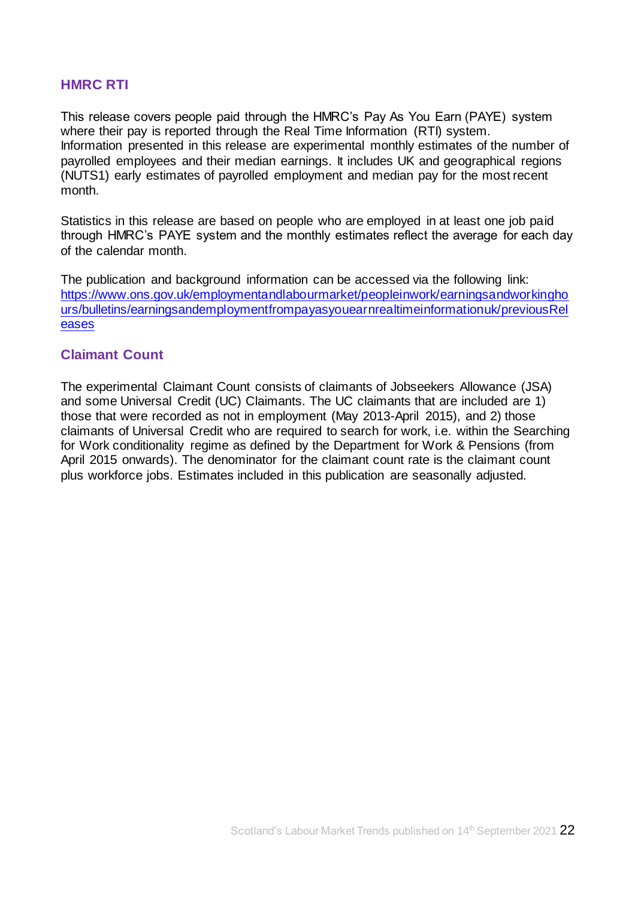## **HMRC RTI**

This release covers people paid through the HMRC's Pay As You Earn (PAYE) system where their pay is reported through the Real Time Information (RTI) system. Information presented in this release are experimental monthly estimates of the number of payrolled employees and their median earnings. It includes UK and geographical regions (NUTS1) early estimates of payrolled employment and median pay for the most recent month.

Statistics in this release are based on people who are employed in at least one job paid through HMRC's PAYE system and the monthly estimates reflect the average for each day of the calendar month.

The publication and background information can be accessed via the following link: [https://www.ons.gov.uk/employmentandlabourmarket/peopleinwork/earningsandworkingho](https://www.ons.gov.uk/employmentandlabourmarket/peopleinwork/earningsandworkinghours/bulletins/earningsandemploymentfrompayasyouearnrealtimeinformationuk/previousReleases) [urs/bulletins/earningsandemploymentfrompayasyouearnrealtimeinformationuk/previousRel](https://www.ons.gov.uk/employmentandlabourmarket/peopleinwork/earningsandworkinghours/bulletins/earningsandemploymentfrompayasyouearnrealtimeinformationuk/previousReleases) [eases](https://www.ons.gov.uk/employmentandlabourmarket/peopleinwork/earningsandworkinghours/bulletins/earningsandemploymentfrompayasyouearnrealtimeinformationuk/previousReleases)

## **Claimant Count**

The experimental Claimant Count consists of claimants of Jobseekers Allowance (JSA) and some Universal Credit (UC) Claimants. The UC claimants that are included are 1) those that were recorded as not in employment (May 2013-April 2015), and 2) those claimants of Universal Credit who are required to search for work, i.e. within the Searching for Work conditionality regime as defined by the Department for Work & Pensions (from April 2015 onwards). The denominator for the claimant count rate is the claimant count plus workforce jobs. Estimates included in this publication are seasonally adjusted.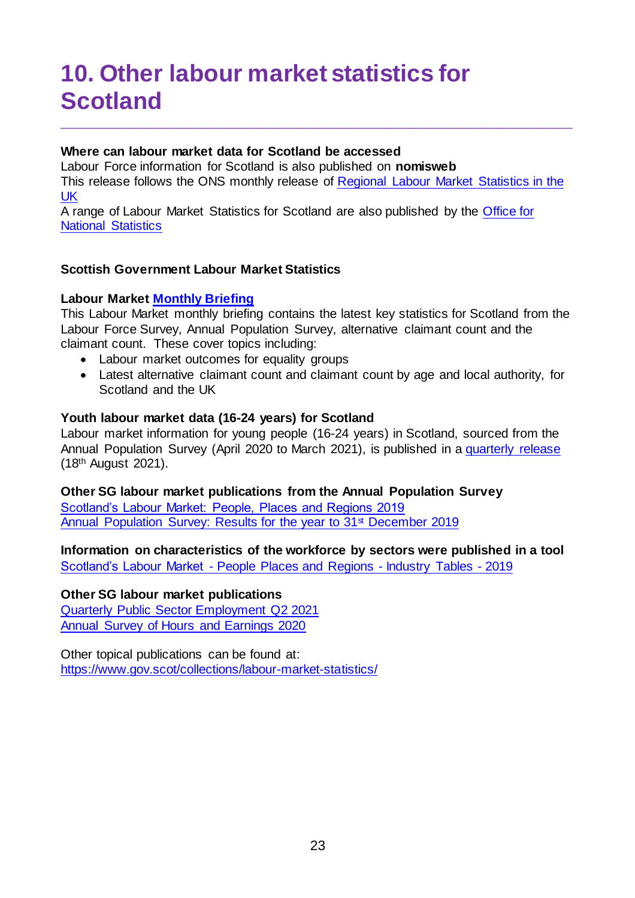# <span id="page-22-0"></span>**10. Other labour market statistics for Scotland**

## **Where can labour market data for Scotland be accessed**

Labour Force information for Scotland is also published on **[nomisweb](https://www.nomisweb.co.uk/)** This release follows the ONS monthly release of [Regional Labour Market Statistics in the](https://www.ons.gov.uk/employmentandlabourmarket/peopleinwork/employmentandemployeetypes/bulletins/regionallabourmarket/previousReleases)  [UK](https://www.ons.gov.uk/employmentandlabourmarket/peopleinwork/employmentandemployeetypes/bulletins/regionallabourmarket/previousReleases) 

\_\_\_\_\_\_\_\_\_\_\_\_\_\_\_\_\_\_\_\_\_\_\_\_\_\_\_\_\_\_\_\_\_\_\_\_\_\_\_\_\_\_\_\_\_\_\_\_\_\_\_\_\_\_\_\_\_\_\_\_\_\_\_\_\_\_\_\_\_\_\_\_\_\_\_\_\_\_

A range of Labour Market Statistics for Scotland are also published by the [Office for](https://www.ons.gov.uk/)  [National Statistics](https://www.ons.gov.uk/)

## **Scottish Government Labour Market Statistics**

## **Labour Marke[t Monthly Briefing](https://www.gov.scot/collections/labour-market-statistics/#monthlybriefing,slidepacksandlabourmarkettrends)**

This Labour Market monthly briefing contains the latest key statistics for Scotland from the Labour Force Survey, Annual Population Survey, alternative claimant count and the claimant count. These cover topics including:

- Labour market outcomes for equality groups
- Latest alternative claimant count and claimant count by age and local authority, for Scotland and the UK

### **Youth labour market data (16-24 years) for Scotland**

Labour market information for young people (16-24 years) in Scotland, sourced from the Annual Population Survey (April 2020 to March 2021), is published in a [quarterly release](https://www.gov.scot/collections/labour-market-statistics/#youngpeopleinthelabourmarket) (18th August 2021).

**Other SG labour market publications from the Annual Population Survey** 

[Scotland's Labour Market: People, Places and Regions 2019](https://www.gov.scot/publications/scotlands-labour-market-people-places-regions-statistics-annual-population-survey-2019/) [Annual Population Survey: Results for the year to 31](https://www.gov.scot/publications/annual-population-survey-results-for-year-to-31-december-2019/)<sup>st</sup> December 2019

**Information on characteristics of the workforce by sectors were published in a tool**  Scotland's Labour Market - [People Places and Regions](https://www.gov.scot/publications/scotlands-labour-market-people-places-and-regions-background-tables/) - Industry Tables - 2019

### **Other SG labour market publications**

[Quarterly Public Sector Employment Q2](https://www.gov.scot/collections/labour-market-statistics/#publicsectoremployment) 2021 [Annual Survey of Hours and Earnings 2020](https://www.gov.scot/publications/annual-survey-of-hours-and-earnings-2020/)

Other topical publications can be found at: <https://www.gov.scot/collections/labour-market-statistics/>